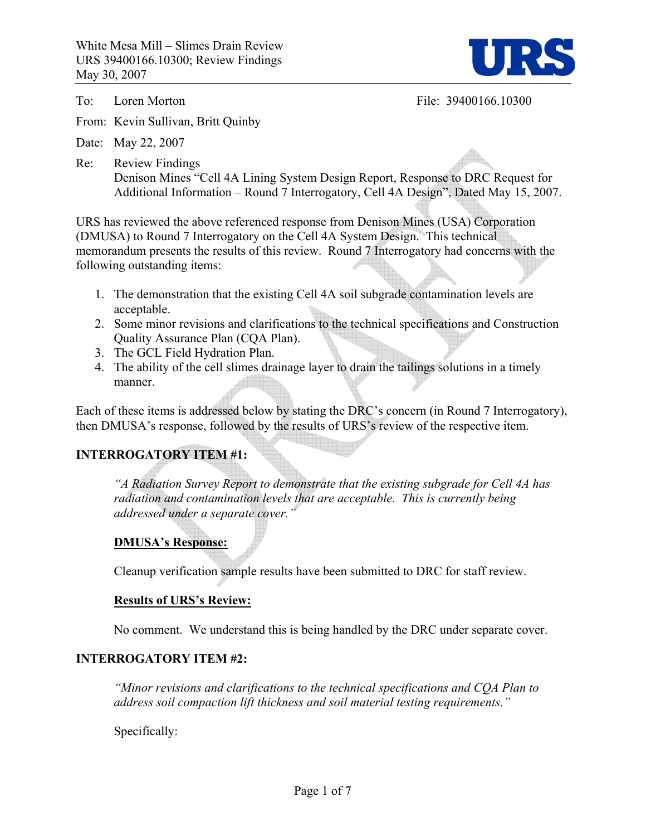

To: Loren Morton File: 39400166.10300

From: Kevin Sullivan, Britt Quinby

Date: May 22, 2007

Re: Review Findings Denison Mines "Cell 4A Lining System Design Report, Response to DRC Request for Additional Information – Round 7 Interrogatory, Cell 4A Design", Dated May 15, 2007.

URS has reviewed the above referenced response from Denison Mines (USA) Corporation (DMUSA) to Round 7 Interrogatory on the Cell 4A System Design. This technical memorandum presents the results of this review. Round 7 Interrogatory had concerns with the following outstanding items:

- 1. The demonstration that the existing Cell 4A soil subgrade contamination levels are acceptable.
- 2. Some minor revisions and clarifications to the technical specifications and Construction Quality Assurance Plan (CQA Plan).
- 3. The GCL Field Hydration Plan.
- 4. The ability of the cell slimes drainage layer to drain the tailings solutions in a timely manner.

Each of these items is addressed below by stating the DRC's concern (in Round 7 Interrogatory), then DMUSA's response, followed by the results of URS's review of the respective item.

# **INTERROGATORY ITEM #1:**

*"A Radiation Survey Report to demonstrate that the existing subgrade for Cell 4A has radiation and contamination levels that are acceptable. This is currently being addressed under a separate cover."* 

### **DMUSA's Response:**

Cleanup verification sample results have been submitted to DRC for staff review.

#### **Results of URS's Review:**

No comment. We understand this is being handled by the DRC under separate cover.

#### **INTERROGATORY ITEM #2:**

*"Minor revisions and clarifications to the technical specifications and CQA Plan to address soil compaction lift thickness and soil material testing requirements."* 

Specifically: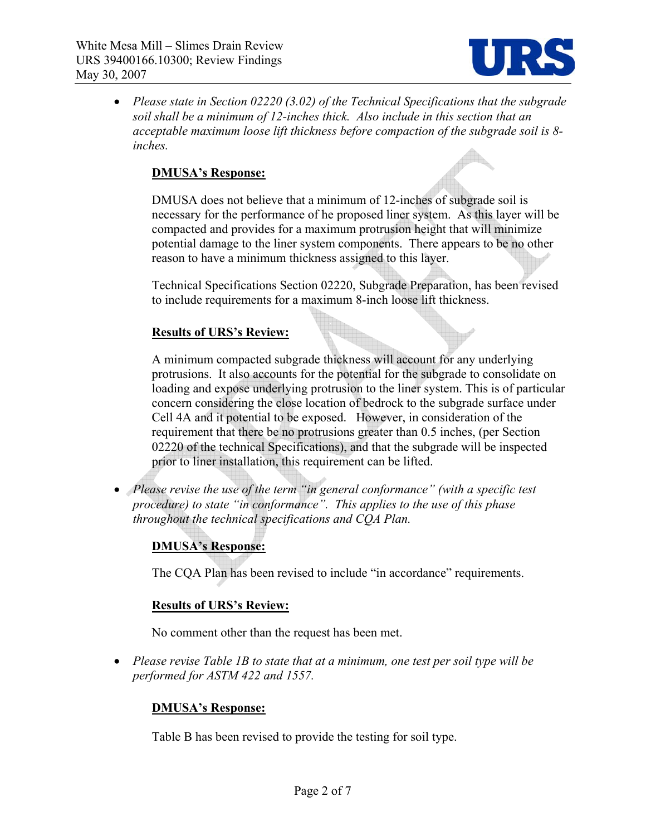

• *Please state in Section 02220 (3.02) of the Technical Specifications that the subgrade soil shall be a minimum of 12-inches thick. Also include in this section that an acceptable maximum loose lift thickness before compaction of the subgrade soil is 8 inches.* 

### **DMUSA's Response:**

DMUSA does not believe that a minimum of 12-inches of subgrade soil is necessary for the performance of he proposed liner system. As this layer will be compacted and provides for a maximum protrusion height that will minimize potential damage to the liner system components. There appears to be no other reason to have a minimum thickness assigned to this layer.

Technical Specifications Section 02220, Subgrade Preparation, has been revised to include requirements for a maximum 8-inch loose lift thickness.

#### **Results of URS's Review:**

A minimum compacted subgrade thickness will account for any underlying protrusions. It also accounts for the potential for the subgrade to consolidate on loading and expose underlying protrusion to the liner system. This is of particular concern considering the close location of bedrock to the subgrade surface under Cell 4A and it potential to be exposed. However, in consideration of the requirement that there be no protrusions greater than 0.5 inches, (per Section 02220 of the technical Specifications), and that the subgrade will be inspected prior to liner installation, this requirement can be lifted.

• *Please revise the use of the term "in general conformance" (with a specific test procedure) to state "in conformance". This applies to the use of this phase throughout the technical specifications and CQA Plan.* 

### **DMUSA's Response:**

The CQA Plan has been revised to include "in accordance" requirements.

#### **Results of URS's Review:**

No comment other than the request has been met.

• *Please revise Table 1B to state that at a minimum, one test per soil type will be performed for ASTM 422 and 1557.* 

#### **DMUSA's Response:**

Table B has been revised to provide the testing for soil type.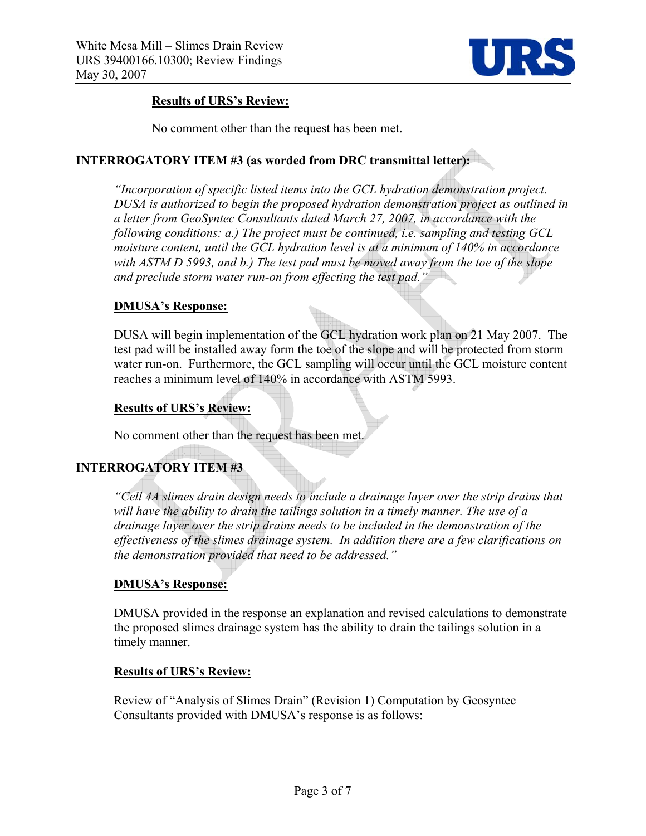

# **Results of URS's Review:**

No comment other than the request has been met.

# **INTERROGATORY ITEM #3 (as worded from DRC transmittal letter):**

*"Incorporation of specific listed items into the GCL hydration demonstration project. DUSA is authorized to begin the proposed hydration demonstration project as outlined in a letter from GeoSyntec Consultants dated March 27, 2007, in accordance with the following conditions: a.) The project must be continued, i.e. sampling and testing GCL moisture content, until the GCL hydration level is at a minimum of 140% in accordance with ASTM D 5993, and b.) The test pad must be moved away from the toe of the slope and preclude storm water run-on from effecting the test pad."* 

### **DMUSA's Response:**

DUSA will begin implementation of the GCL hydration work plan on 21 May 2007. The test pad will be installed away form the toe of the slope and will be protected from storm water run-on. Furthermore, the GCL sampling will occur until the GCL moisture content reaches a minimum level of 140% in accordance with ASTM 5993.

### **Results of URS's Review:**

No comment other than the request has been met.

# **INTERROGATORY ITEM #3**

*"Cell 4A slimes drain design needs to include a drainage layer over the strip drains that will have the ability to drain the tailings solution in a timely manner. The use of a drainage layer over the strip drains needs to be included in the demonstration of the effectiveness of the slimes drainage system. In addition there are a few clarifications on the demonstration provided that need to be addressed."* 

### **DMUSA's Response:**

DMUSA provided in the response an explanation and revised calculations to demonstrate the proposed slimes drainage system has the ability to drain the tailings solution in a timely manner.

### **Results of URS's Review:**

Review of "Analysis of Slimes Drain" (Revision 1) Computation by Geosyntec Consultants provided with DMUSA's response is as follows: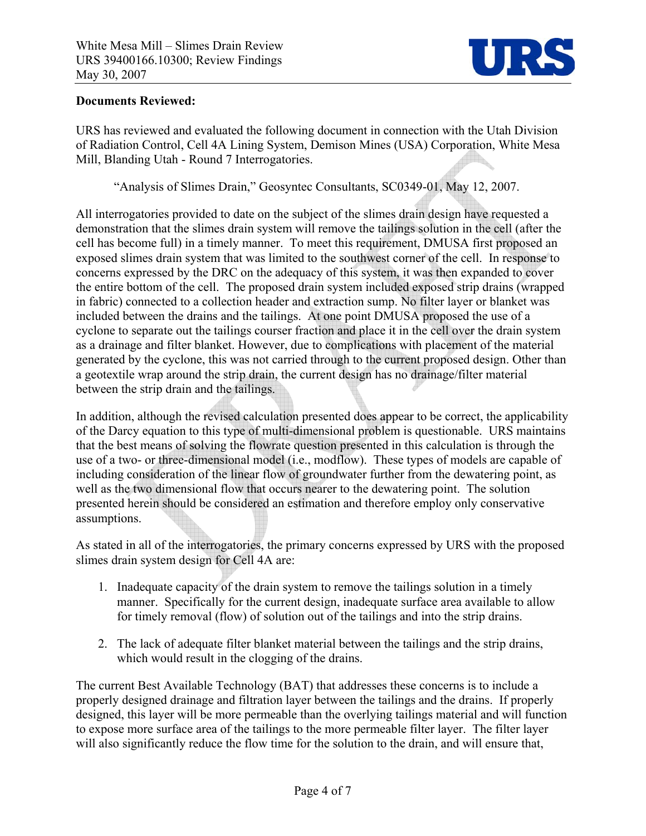

#### **Documents Reviewed:**

URS has reviewed and evaluated the following document in connection with the Utah Division of Radiation Control, Cell 4A Lining System, Demison Mines (USA) Corporation, White Mesa Mill, Blanding Utah - Round 7 Interrogatories.

"Analysis of Slimes Drain," Geosyntec Consultants, SC0349-01, May 12, 2007.

All interrogatories provided to date on the subject of the slimes drain design have requested a demonstration that the slimes drain system will remove the tailings solution in the cell (after the cell has become full) in a timely manner. To meet this requirement, DMUSA first proposed an exposed slimes drain system that was limited to the southwest corner of the cell. In response to concerns expressed by the DRC on the adequacy of this system, it was then expanded to cover the entire bottom of the cell. The proposed drain system included exposed strip drains (wrapped in fabric) connected to a collection header and extraction sump. No filter layer or blanket was included between the drains and the tailings. At one point DMUSA proposed the use of a cyclone to separate out the tailings courser fraction and place it in the cell over the drain system as a drainage and filter blanket. However, due to complications with placement of the material generated by the cyclone, this was not carried through to the current proposed design. Other than a geotextile wrap around the strip drain, the current design has no drainage/filter material between the strip drain and the tailings.

In addition, although the revised calculation presented does appear to be correct, the applicability of the Darcy equation to this type of multi-dimensional problem is questionable. URS maintains that the best means of solving the flowrate question presented in this calculation is through the use of a two- or three-dimensional model (i.e., modflow). These types of models are capable of including consideration of the linear flow of groundwater further from the dewatering point, as well as the two dimensional flow that occurs nearer to the dewatering point. The solution presented herein should be considered an estimation and therefore employ only conservative assumptions.

As stated in all of the interrogatories, the primary concerns expressed by URS with the proposed slimes drain system design for Cell 4A are:

- 1. Inadequate capacity of the drain system to remove the tailings solution in a timely manner. Specifically for the current design, inadequate surface area available to allow for timely removal (flow) of solution out of the tailings and into the strip drains.
- 2. The lack of adequate filter blanket material between the tailings and the strip drains, which would result in the clogging of the drains.

The current Best Available Technology (BAT) that addresses these concerns is to include a properly designed drainage and filtration layer between the tailings and the drains. If properly designed, this layer will be more permeable than the overlying tailings material and will function to expose more surface area of the tailings to the more permeable filter layer. The filter layer will also significantly reduce the flow time for the solution to the drain, and will ensure that,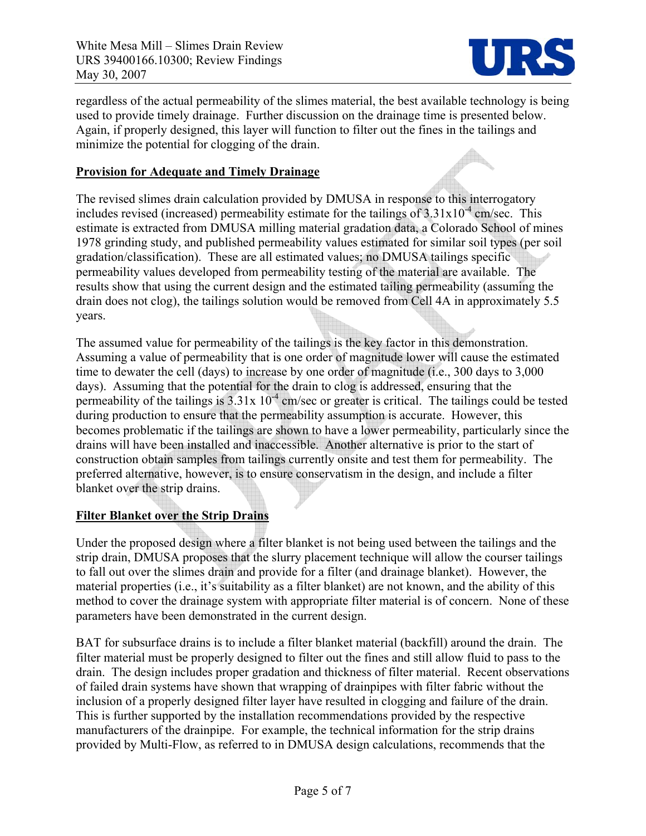

H.

regardless of the actual permeability of the slimes material, the best available technology is being used to provide timely drainage. Further discussion on the drainage time is presented below. Again, if properly designed, this layer will function to filter out the fines in the tailings and minimize the potential for clogging of the drain.

#### **Provision for Adequate and Timely Drainage**

The revised slimes drain calculation provided by DMUSA in response to this interrogatory includes revised (increased) permeability estimate for the tailings of  $3.31 \times 10^{-4}$  cm/sec. This estimate is extracted from DMUSA milling material gradation data, a Colorado School of mines 1978 grinding study, and published permeability values estimated for similar soil types (per soil gradation/classification). These are all estimated values; no DMUSA tailings specific permeability values developed from permeability testing of the material are available. The results show that using the current design and the estimated tailing permeability (assuming the drain does not clog), the tailings solution would be removed from Cell 4A in approximately 5.5 years.

The assumed value for permeability of the tailings is the key factor in this demonstration. Assuming a value of permeability that is one order of magnitude lower will cause the estimated time to dewater the cell (days) to increase by one order of magnitude (i.e., 300 days to 3,000 days). Assuming that the potential for the drain to clog is addressed, ensuring that the permeability of the tailings is  $3.31x\ 10^{-4}$  cm/sec or greater is critical. The tailings could be tested during production to ensure that the permeability assumption is accurate. However, this becomes problematic if the tailings are shown to have a lower permeability, particularly since the drains will have been installed and inaccessible. Another alternative is prior to the start of construction obtain samples from tailings currently onsite and test them for permeability. The preferred alternative, however, is to ensure conservatism in the design, and include a filter blanket over the strip drains.

### **Filter Blanket over the Strip Drains**

Under the proposed design where a filter blanket is not being used between the tailings and the strip drain, DMUSA proposes that the slurry placement technique will allow the courser tailings to fall out over the slimes drain and provide for a filter (and drainage blanket). However, the material properties (i.e., it's suitability as a filter blanket) are not known, and the ability of this method to cover the drainage system with appropriate filter material is of concern. None of these parameters have been demonstrated in the current design.

BAT for subsurface drains is to include a filter blanket material (backfill) around the drain. The filter material must be properly designed to filter out the fines and still allow fluid to pass to the drain. The design includes proper gradation and thickness of filter material. Recent observations of failed drain systems have shown that wrapping of drainpipes with filter fabric without the inclusion of a properly designed filter layer have resulted in clogging and failure of the drain. This is further supported by the installation recommendations provided by the respective manufacturers of the drainpipe. For example, the technical information for the strip drains provided by Multi-Flow, as referred to in DMUSA design calculations, recommends that the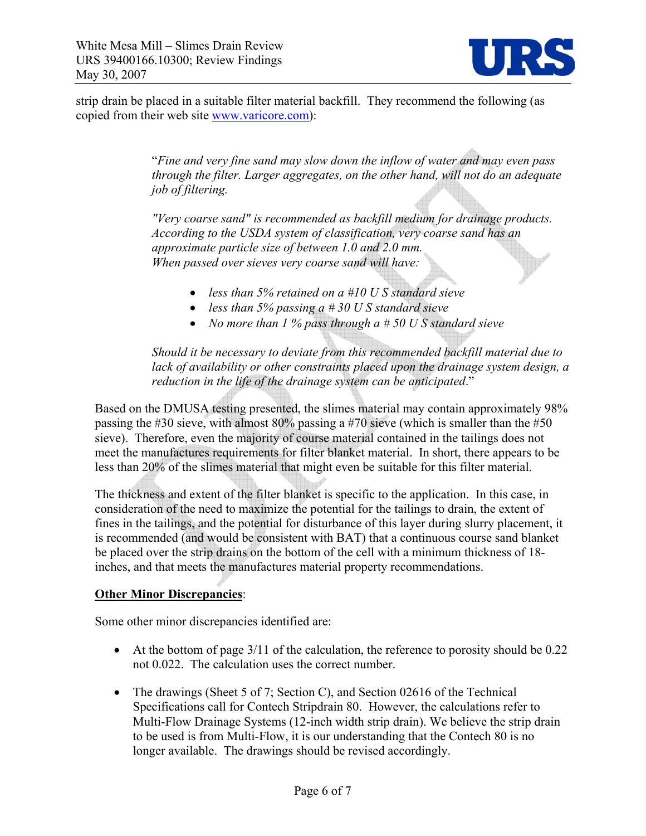

strip drain be placed in a suitable filter material backfill. They recommend the following (as copied from their web site www.varicore.com):

> "*Fine and very fine sand may slow down the inflow of water and may even pass through the filter. Larger aggregates, on the other hand, will not do an adequate job of filtering.*

*"Very coarse sand" is recommended as backfill medium for drainage products. According to the USDA system of classification, very coarse sand has an approximate particle size of between 1.0 and 2.0 mm. When passed over sieves very coarse sand will have:* 

- *less than 5% retained on a #10 U S standard sieve*
- *less than 5% passing a # 30 U S standard sieve*
- *No more than 1 % pass through a # 50 U S standard sieve*

*Should it be necessary to deviate from this recommended backfill material due to lack of availability or other constraints placed upon the drainage system design, a reduction in the life of the drainage system can be anticipated*."

Based on the DMUSA testing presented, the slimes material may contain approximately 98% passing the #30 sieve, with almost 80% passing a #70 sieve (which is smaller than the #50 sieve). Therefore, even the majority of course material contained in the tailings does not meet the manufactures requirements for filter blanket material. In short, there appears to be less than 20% of the slimes material that might even be suitable for this filter material.

The thickness and extent of the filter blanket is specific to the application. In this case, in consideration of the need to maximize the potential for the tailings to drain, the extent of fines in the tailings, and the potential for disturbance of this layer during slurry placement, it is recommended (and would be consistent with BAT) that a continuous course sand blanket be placed over the strip drains on the bottom of the cell with a minimum thickness of 18 inches, and that meets the manufactures material property recommendations.

#### **Other Minor Discrepancies**:

Some other minor discrepancies identified are:

- At the bottom of page 3/11 of the calculation, the reference to porosity should be 0.22 not 0.022. The calculation uses the correct number.
- The drawings (Sheet 5 of 7; Section C), and Section 02616 of the Technical Specifications call for Contech Stripdrain 80. However, the calculations refer to Multi-Flow Drainage Systems (12-inch width strip drain). We believe the strip drain to be used is from Multi-Flow, it is our understanding that the Contech 80 is no longer available. The drawings should be revised accordingly.